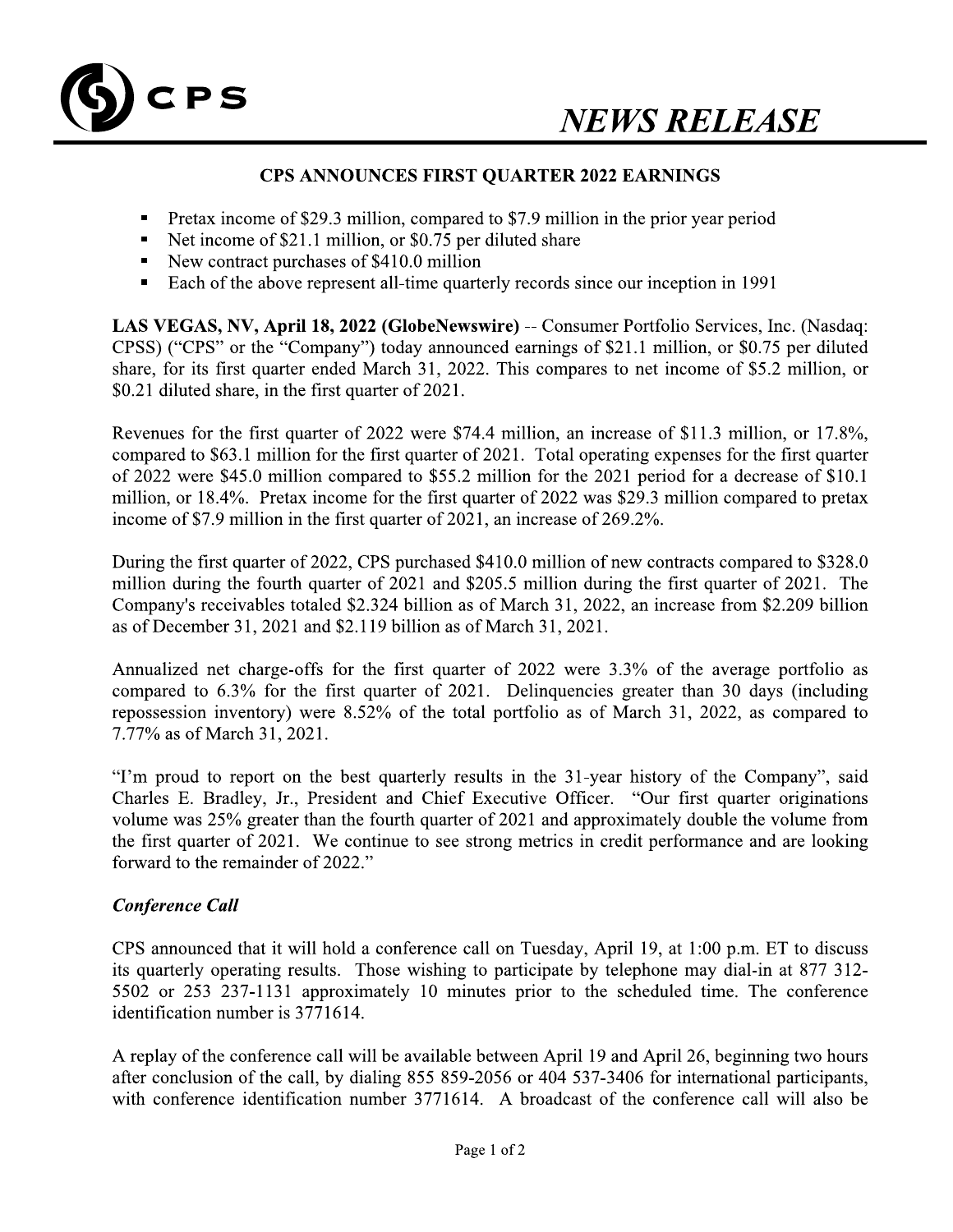

## **CPS ANNOUNCES FIRST QUARTER 2022 EARNINGS**

- Pretax income of \$29.3 million, compared to \$7.9 million in the prior year period
- Net income of \$21.1 million, or \$0.75 per diluted share
- New contract purchases of \$410.0 million
- Each of the above represent all-time quarterly records since our inception in 1991

LAS VEGAS, NV, April 18, 2022 (GlobeNewswire) -- Consumer Portfolio Services, Inc. (Nasdaq: CPSS) ("CPS" or the "Company") today announced earnings of \$21.1 million, or \$0.75 per diluted share, for its first quarter ended March 31, 2022. This compares to net income of \$5.2 million, or \$0.21 diluted share, in the first quarter of 2021.

Revenues for the first quarter of 2022 were \$74.4 million, an increase of \$11.3 million, or 17.8%, compared to \$63.1 million for the first quarter of 2021. Total operating expenses for the first quarter of 2022 were \$45.0 million compared to \$55.2 million for the 2021 period for a decrease of \$10.1 million, or 18.4%. Pretax income for the first quarter of 2022 was \$29.3 million compared to pretax income of \$7.9 million in the first quarter of 2021, an increase of 269.2%.

During the first quarter of 2022, CPS purchased \$410.0 million of new contracts compared to \$328.0 million during the fourth quarter of 2021 and \$205.5 million during the first quarter of 2021. The Company's receivables totaled \$2.324 billion as of March 31, 2022, an increase from \$2.209 billion as of December 31, 2021 and \$2.119 billion as of March 31, 2021.

Annualized net charge-offs for the first quarter of 2022 were 3.3% of the average portfolio as compared to 6.3% for the first quarter of 2021. Delinquencies greater than 30 days (including repossession inventory) were 8.52% of the total portfolio as of March 31, 2022, as compared to 7.77% as of March 31, 2021.

"I'm proud to report on the best quarterly results in the 31-year history of the Company", said Charles E. Bradley, Jr., President and Chief Executive Officer. "Our first quarter originations volume was 25% greater than the fourth quarter of 2021 and approximately double the volume from the first quarter of 2021. We continue to see strong metrics in credit performance and are looking forward to the remainder of 2022."

# **Conference Call**

CPS announced that it will hold a conference call on Tuesday, April 19, at 1:00 p.m. ET to discuss its quarterly operating results. Those wishing to participate by telephone may dial-in at 877 312-5502 or 253 237-1131 approximately 10 minutes prior to the scheduled time. The conference identification number is 3771614.

A replay of the conference call will be available between April 19 and April 26, beginning two hours after conclusion of the call, by dialing 855 859-2056 or 404 537-3406 for international participants, with conference identification number 3771614. A broadcast of the conference call will also be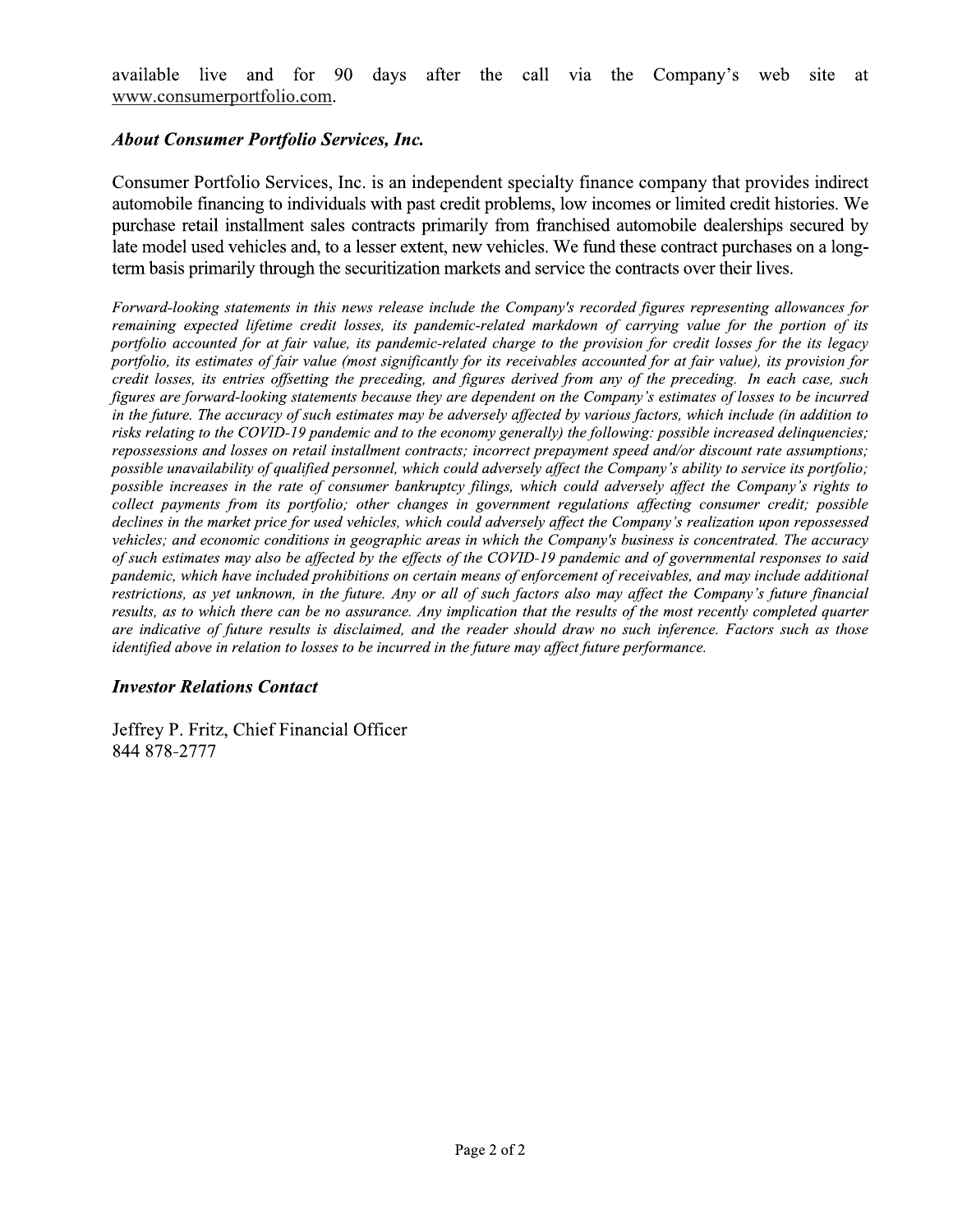available live and for 90 days after the call via the Company's web site <sub>at</sub> www.consumerportfolio.com.

## **About Consumer Portfolio Services, Inc.**

Consumer Portfolio Services, Inc. is an independent specialty finance company that provides indirect automobile financing to individuals with past credit problems, low incomes or limited credit histories. We purchase retail installment sales contracts primarily from franchised automobile dealerships secured by late model used vehicles and, to a lesser extent, new vehicles. We fund these contract purchases on a longterm basis primarily through the securitization markets and service the contracts over their lives.

Forward-looking statements in this news release include the Company's recorded figures representing allowances for remaining expected lifetime credit losses, its pandemic-related markdown of carrying value for the portion of its portfolio accounted for at fair value, its pandemic-related charge to the provision for credit losses for the its legacy portfolio, its estimates of fair value (most significantly for its receivables accounted for at fair value), its provision for credit losses, its entries offsetting the preceding, and figures derived from any of the preceding. In each case, such figures are forward-looking statements because they are dependent on the Company's estimates of losses to be incurred in the future. The accuracy of such estimates may be adversely affected by various factors, which include (in addition to risks relating to the COVID-19 pandemic and to the economy generally) the following: possible increased delinquencies; repossessions and losses on retail installment contracts; incorrect prepayment speed and/or discount rate assumptions; possible unavailability of qualified personnel, which could adversely affect the Company's ability to service its portfolio; possible increases in the rate of consumer bankruptcy filings, which could adversely affect the Company's rights to collect payments from its portfolio; other changes in government regulations affecting consumer credit; possible declines in the market price for used vehicles, which could adversely affect the Company's realization upon repossessed vehicles; and economic conditions in geographic areas in which the Company's business is concentrated. The accuracy of such estimates may also be affected by the effects of the COVID-19 pandemic and of governmental responses to said pandemic, which have included prohibitions on certain means of enforcement of receivables, and may include additional restrictions, as yet unknown, in the future. Any or all of such factors also may affect the Company's future financial results, as to which there can be no assurance. Any implication that the results of the most recently completed quarter are indicative of future results is disclaimed, and the reader should draw no such inference. Factors such as those identified above in relation to losses to be incurred in the future may affect future performance.

## **Investor Relations Contact**

Jeffrey P. Fritz, Chief Financial Officer 844 878-2777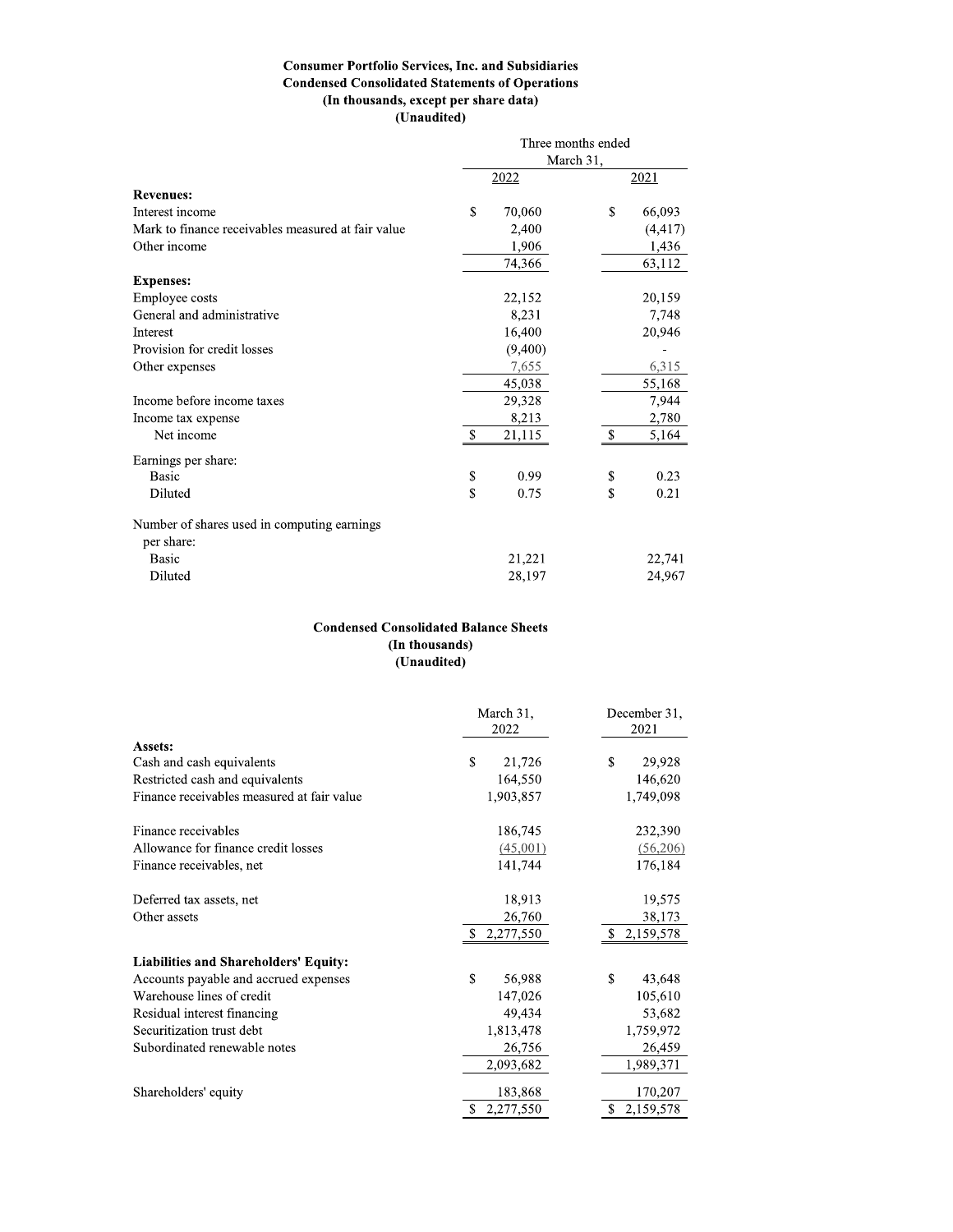#### **Consumer Portfolio Services, Inc. and Subsidiaries Condensed Consolidated Statements of Operations** (In thousands, except per share data) (Unaudited)

|                                                    | Three months ended<br>March 31, |         |       |          |  |  |
|----------------------------------------------------|---------------------------------|---------|-------|----------|--|--|
|                                                    |                                 | 2022    |       | 2021     |  |  |
| <b>Revenues:</b>                                   |                                 |         |       |          |  |  |
| Interest income                                    | \$                              | 70,060  | \$    | 66,093   |  |  |
| Mark to finance receivables measured at fair value |                                 | 2,400   |       | (4, 417) |  |  |
| Other income                                       | 1,906                           |         | 1,436 |          |  |  |
|                                                    |                                 | 74,366  |       | 63,112   |  |  |
| <b>Expenses:</b>                                   |                                 |         |       |          |  |  |
| Employee costs                                     |                                 | 22,152  |       | 20,159   |  |  |
| General and administrative                         |                                 | 8,231   |       | 7,748    |  |  |
| Interest                                           |                                 | 16,400  |       | 20,946   |  |  |
| Provision for credit losses                        |                                 | (9,400) |       |          |  |  |
| Other expenses                                     |                                 | 7,655   |       | 6,315    |  |  |
|                                                    |                                 | 45,038  |       | 55,168   |  |  |
| Income before income taxes                         |                                 | 29,328  |       | 7,944    |  |  |
| Income tax expense                                 |                                 | 8,213   |       | 2,780    |  |  |
| Net income                                         | $\$$                            | 21,115  | $\$$  | 5,164    |  |  |
| Earnings per share:                                |                                 |         |       |          |  |  |
| Basic                                              | \$                              | 0.99    | \$    | 0.23     |  |  |
| Diluted                                            | \$                              | 0.75    | \$    | 0.21     |  |  |
| Number of shares used in computing earnings        |                                 |         |       |          |  |  |
| per share:                                         |                                 |         |       |          |  |  |
| Basic                                              |                                 | 21,221  |       | 22,741   |  |  |
| Diluted                                            |                                 | 28,197  |       | 24,967   |  |  |

### **Condensed Consolidated Balance Sheets** (In thousands) (Unaudited)

|                                              | March 31,<br>2022      | December 31,<br>2021 |  |
|----------------------------------------------|------------------------|----------------------|--|
| Assets:                                      |                        |                      |  |
| Cash and cash equivalents                    | $\mathbb{S}$<br>21,726 | \$<br>29,928         |  |
| Restricted cash and equivalents              | 164,550                | 146,620              |  |
| Finance receivables measured at fair value   | 1,903,857              | 1,749,098            |  |
| Finance receivables                          | 186,745                | 232,390              |  |
| Allowance for finance credit losses          | (45,001)               | (56,206)             |  |
| Finance receivables, net                     | 141,744                | 176,184              |  |
| Deferred tax assets, net                     | 18,913                 | 19,575               |  |
| Other assets                                 | 26,760                 | 38,173               |  |
|                                              | \$2,277,550            | \$2,159,578          |  |
| <b>Liabilities and Shareholders' Equity:</b> |                        |                      |  |
| Accounts payable and accrued expenses        | \$<br>56,988           | \$<br>43,648         |  |
| Warehouse lines of credit                    | 147,026                | 105,610              |  |
| Residual interest financing                  | 49,434                 | 53,682               |  |
| Securitization trust debt                    | 1,813,478              | 1,759,972            |  |
| Subordinated renewable notes                 | 26,756                 | 26,459               |  |
|                                              | 2,093,682              | 1,989,371            |  |
| Shareholders' equity                         | 183,868                | 170,207              |  |
|                                              | 2,277,550              | 2,159,578            |  |